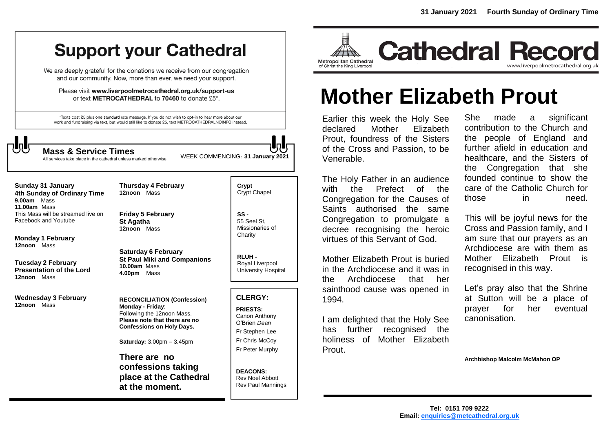# **Support your Cathedral**

We are deeply grateful for the donations we receive from our congregation and our community. Now, more than ever, we need your support.

Please visit www.liverpoolmetrocathedral.org.uk/support-us or text METROCATHEDRAL to 70460 to donate £5\*.

\*Texts cost £5 plus one standard rate message. If you do not wish to opt-in to hear more about our work and fundraising via text, but would still like to donate £5, text METROCATHEDRALNOINFO instead.

WEEK COMMENCING: **<sup>31</sup> January 2021 Mass & Service Times**

All services take place in the cathedral unless marked otherwise

**Sunday 31 January 4th Sunday of Ordinary Time 9.00am** Mass **11.00am** Mass This Mass will be streamed live on Facebook and Youtube

**Monday 1 February 12noon** Mass

**Tuesday 2 February Presentation of the Lord 12noon** Mass

**Wednesday 3 February 12noon** Mass

**Friday 5 February St Agatha 12noon** Mass

**Thursday 4 February 12noon** Mass

**Saturday 6 February St Paul Miki and Companions 10.00am** Mass **4.00pm** Mass

**RECONCILIATION (Confession) Monday - Friday**: Following the 12noon Mass. **Please note that there are no Confessions on Holy Days.**

**Saturday:** 3.00pm – 3.45pm

**There are no confessions taking place at the Cathedral at the moment.**

**Crypt**  Crypt Chapel

**SS -** 55 Seel St, Missionaries of **Charity** 

**RLUH -** Royal Liverpool University Hospital

# **CLERGY:**

**PRIESTS:** Canon Anthony O'Brien *Dean* Fr Stephen Lee Fr Chris McCoy Fr Peter Murphy

**DEACONS:** Rev Noel Abbott Rev Paul Mannings



**Cathedral Record** www.liverpoolmetrocathedral.org.uk

# **Mother Elizabeth Prout**

Earlier this week the Holy See declared Mother Elizabeth Prout, foundress of the Sisters of the Cross and Passion, to be Venerable.

The Holy Father in an audience with the Prefect of the Congregation for the Causes of Saints authorised the same Congregation to promulgate a decree recognising the heroic virtues of this Servant of God.

Mother Elizabeth Prout is buried in the Archdiocese and it was in the Archdiocese that her sainthood cause was opened in 1994.

I am delighted that the Holy See has further recognised the holiness of Mother Elizabeth Prout.

She made a significant contribution to the Church and the people of England and further afield in education and healthcare, and the Sisters of the Congregation that she founded continue to show the care of the Catholic Church for those in need.

This will be joyful news for the Cross and Passion family, and I am sure that our prayers as an Archdiocese are with them as Mother Elizabeth Prout is recognised in this way.

Let's pray also that the Shrine at Sutton will be a place of prayer for her eventual canonisation.

**Archbishop Malcolm McMahon OP**